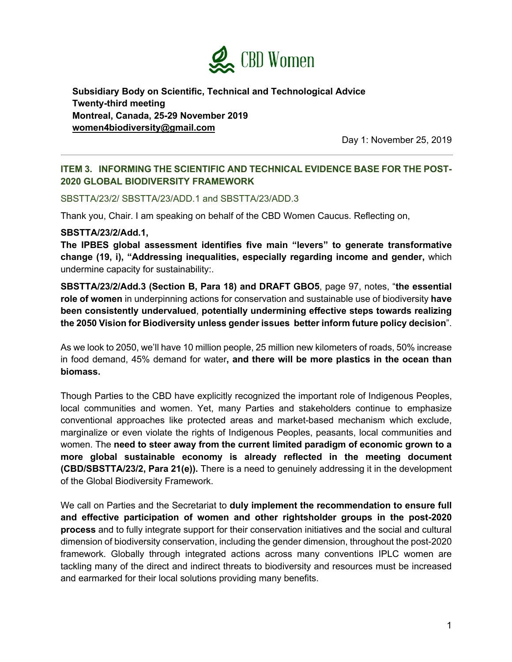

**Subsidiary Body on Scientific, Technical and Technological Advice Twenty-third meeting Montreal, Canada, 25-29 November 2019 women4biodiversity@gmail.com**

Day 1: November 25, 2019

## **ITEM 3. INFORMING THE SCIENTIFIC AND TECHNICAL EVIDENCE BASE FOR THE POST-2020 GLOBAL BIODIVERSITY FRAMEWORK**

## SBSTTA/23/2/ SBSTTA/23/ADD.1 and SBSTTA/23/ADD.3

Thank you, Chair. I am speaking on behalf of the CBD Women Caucus. Reflecting on,

## **SBSTTA/23/2/Add.1,**

**The IPBES global assessment identifies five main "levers" to generate transformative change (19, i), "Addressing inequalities, especially regarding income and gender,** which undermine capacity for sustainability:.

**SBSTTA/23/2/Add.3 (Section B, Para 18) and DRAFT GBO5**, page 97, notes, "**the essential role of women** in underpinning actions for conservation and sustainable use of biodiversity **have been consistently undervalued**, **potentially undermining effective steps towards realizing the 2050 Vision for Biodiversity unless gender issues better inform future policy decision**".

As we look to 2050, we'll have 10 million people, 25 million new kilometers of roads, 50% increase in food demand, 45% demand for water**, and there will be more plastics in the ocean than biomass.**

Though Parties to the CBD have explicitly recognized the important role of Indigenous Peoples, local communities and women. Yet, many Parties and stakeholders continue to emphasize conventional approaches like protected areas and market-based mechanism which exclude, marginalize or even violate the rights of Indigenous Peoples, peasants, local communities and women. The **need to steer away from the current limited paradigm of economic grown to a more global sustainable economy is already reflected in the meeting document (CBD/SBSTTA/23/2, Para 21(e)).** There is a need to genuinely addressing it in the development of the Global Biodiversity Framework.

We call on Parties and the Secretariat to **duly implement the recommendation to ensure full and effective participation of women and other rightsholder groups in the post-2020 process** and to fully integrate support for their conservation initiatives and the social and cultural dimension of biodiversity conservation, including the gender dimension, throughout the post-2020 framework. Globally through integrated actions across many conventions IPLC women are tackling many of the direct and indirect threats to biodiversity and resources must be increased and earmarked for their local solutions providing many benefits.